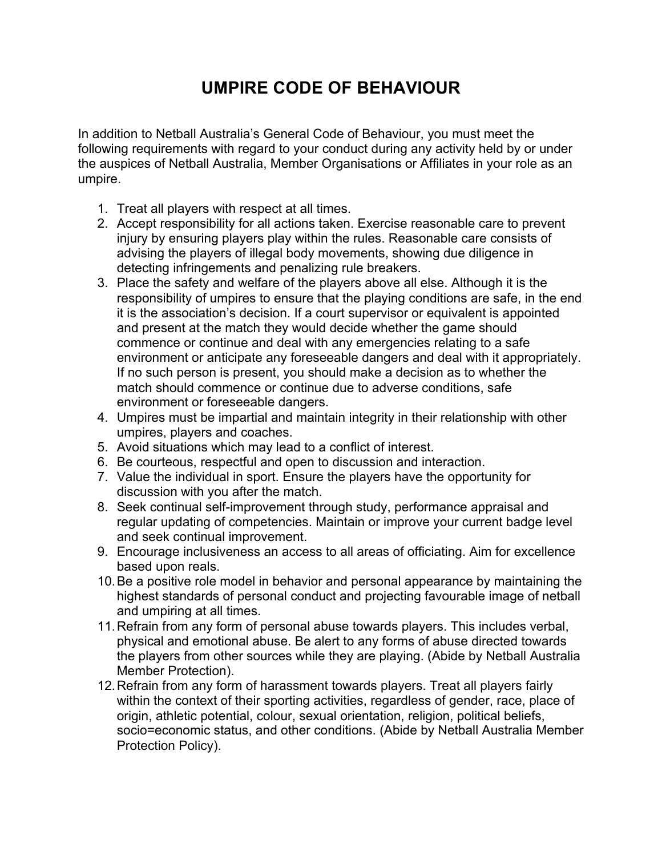## **UMPIRE CODE OF BEHAVIOUR**

In addition to Netball Australia's General Code of Behaviour, you must meet the following requirements with regard to your conduct during any activity held by or under the auspices of Netball Australia, Member Organisations or Affiliates in your role as an umpire.

- 1. Treat all players with respect at all times.
- 2. Accept responsibility for all actions taken. Exercise reasonable care to prevent injury by ensuring players play within the rules. Reasonable care consists of advising the players of illegal body movements, showing due diligence in detecting infringements and penalizing rule breakers.
- 3. Place the safety and welfare of the players above all else. Although it is the responsibility of umpires to ensure that the playing conditions are safe, in the end it is the association's decision. If a court supervisor or equivalent is appointed and present at the match they would decide whether the game should commence or continue and deal with any emergencies relating to a safe environment or anticipate any foreseeable dangers and deal with it appropriately. If no such person is present, you should make a decision as to whether the match should commence or continue due to adverse conditions, safe environment or foreseeable dangers.
- 4. Umpires must be impartial and maintain integrity in their relationship with other umpires, players and coaches.
- 5. Avoid situations which may lead to a conflict of interest.
- 6. Be courteous, respectful and open to discussion and interaction.
- 7. Value the individual in sport. Ensure the players have the opportunity for discussion with you after the match.
- 8. Seek continual self-improvement through study, performance appraisal and regular updating of competencies. Maintain or improve your current badge level and seek continual improvement.
- 9. Encourage inclusiveness an access to all areas of officiating. Aim for excellence based upon reals.
- 10.Be a positive role model in behavior and personal appearance by maintaining the highest standards of personal conduct and projecting favourable image of netball and umpiring at all times.
- 11.Refrain from any form of personal abuse towards players. This includes verbal, physical and emotional abuse. Be alert to any forms of abuse directed towards the players from other sources while they are playing. (Abide by Netball Australia Member Protection).
- 12.Refrain from any form of harassment towards players. Treat all players fairly within the context of their sporting activities, regardless of gender, race, place of origin, athletic potential, colour, sexual orientation, religion, political beliefs, socio=economic status, and other conditions. (Abide by Netball Australia Member Protection Policy).